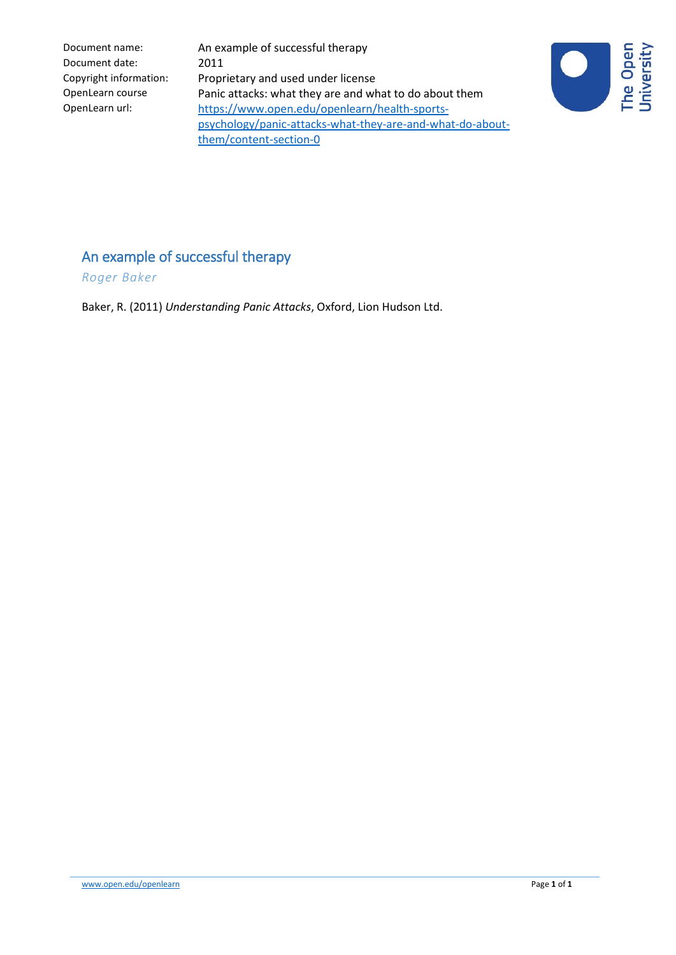Document date: 2011

Document name: An example of successful therapy Copyright information: Proprietary and used under license OpenLearn course Panic attacks: what they are and what to do about them OpenLearn url: [https://www.open.edu/openlearn/health-sports](https://www.open.edu/openlearn/health-sports-psychology/panic-attacks-what-they-are-and-what-do-about-them/content-section-0)[psychology/panic-attacks-what-they-are-and-what-do-about](https://www.open.edu/openlearn/health-sports-psychology/panic-attacks-what-they-are-and-what-do-about-them/content-section-0)[them/content-section-0](https://www.open.edu/openlearn/health-sports-psychology/panic-attacks-what-they-are-and-what-do-about-them/content-section-0)



# An example of successful therapy

*Roger Baker*

Baker, R. (2011) *Understanding Panic Attacks*, Oxford, Lion Hudson Ltd.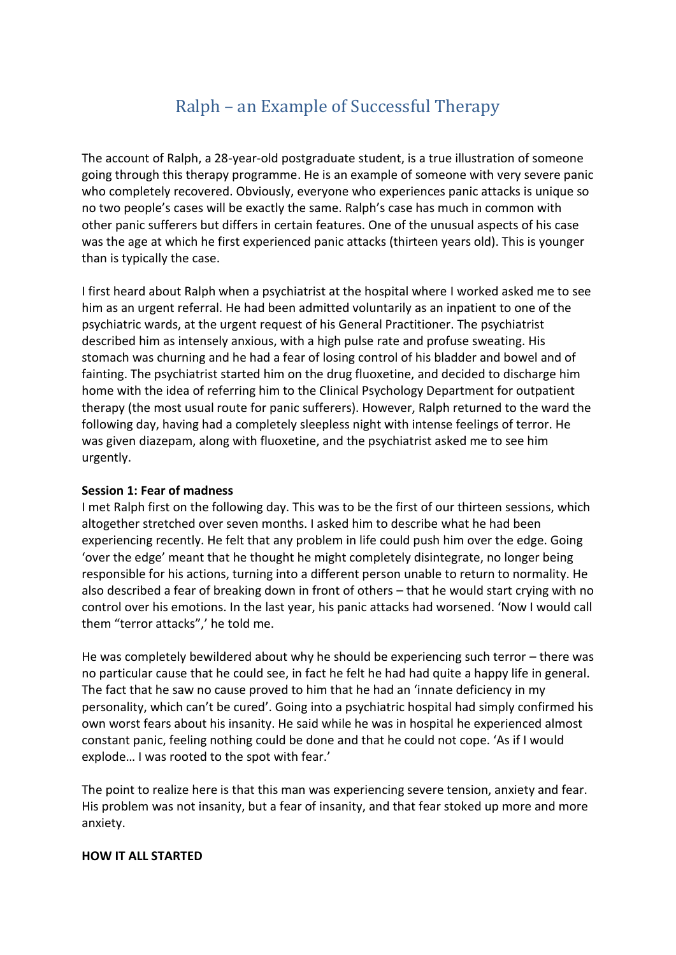# Ralph – an Example of Successful Therapy

The account of Ralph, a 28-year-old postgraduate student, is a true illustration of someone going through this therapy programme. He is an example of someone with very severe panic who completely recovered. Obviously, everyone who experiences panic attacks is unique so no two people's cases will be exactly the same. Ralph's case has much in common with other panic sufferers but differs in certain features. One of the unusual aspects of his case was the age at which he first experienced panic attacks (thirteen years old). This is younger than is typically the case.

I first heard about Ralph when a psychiatrist at the hospital where I worked asked me to see him as an urgent referral. He had been admitted voluntarily as an inpatient to one of the psychiatric wards, at the urgent request of his General Practitioner. The psychiatrist described him as intensely anxious, with a high pulse rate and profuse sweating. His stomach was churning and he had a fear of losing control of his bladder and bowel and of fainting. The psychiatrist started him on the drug fluoxetine, and decided to discharge him home with the idea of referring him to the Clinical Psychology Department for outpatient therapy (the most usual route for panic sufferers). However, Ralph returned to the ward the following day, having had a completely sleepless night with intense feelings of terror. He was given diazepam, along with fluoxetine, and the psychiatrist asked me to see him urgently.

#### **Session 1: Fear of madness**

I met Ralph first on the following day. This was to be the first of our thirteen sessions, which altogether stretched over seven months. I asked him to describe what he had been experiencing recently. He felt that any problem in life could push him over the edge. Going 'over the edge' meant that he thought he might completely disintegrate, no longer being responsible for his actions, turning into a different person unable to return to normality. He also described a fear of breaking down in front of others – that he would start crying with no control over his emotions. In the last year, his panic attacks had worsened. 'Now I would call them "terror attacks",' he told me.

He was completely bewildered about why he should be experiencing such terror – there was no particular cause that he could see, in fact he felt he had had quite a happy life in general. The fact that he saw no cause proved to him that he had an 'innate deficiency in my personality, which can't be cured'. Going into a psychiatric hospital had simply confirmed his own worst fears about his insanity. He said while he was in hospital he experienced almost constant panic, feeling nothing could be done and that he could not cope. 'As if I would explode… I was rooted to the spot with fear.'

The point to realize here is that this man was experiencing severe tension, anxiety and fear. His problem was not insanity, but a fear of insanity, and that fear stoked up more and more anxiety.

#### **HOW IT ALL STARTED**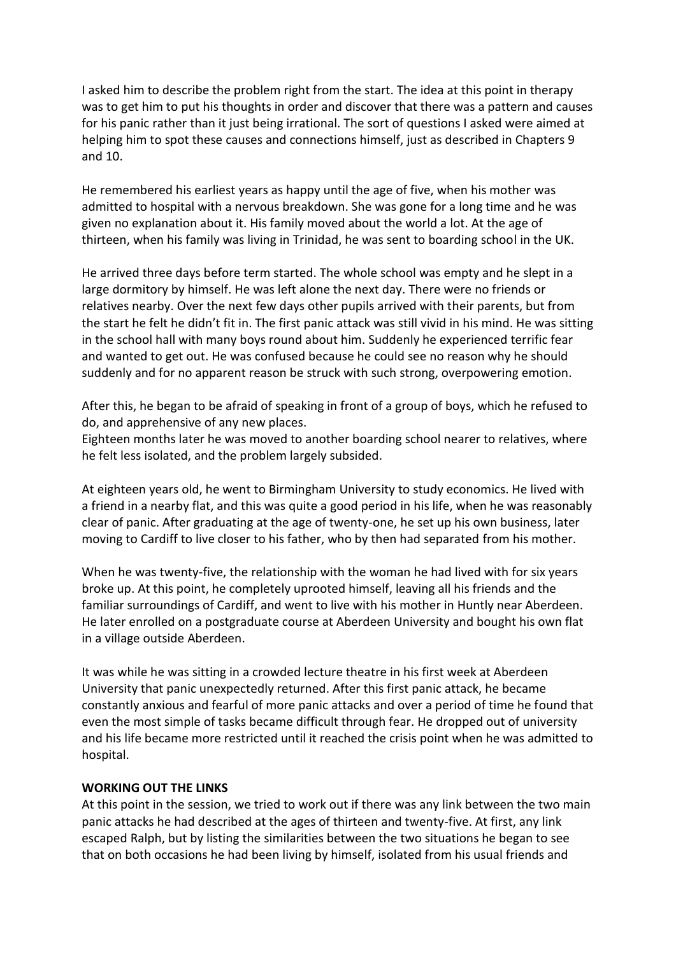I asked him to describe the problem right from the start. The idea at this point in therapy was to get him to put his thoughts in order and discover that there was a pattern and causes for his panic rather than it just being irrational. The sort of questions I asked were aimed at helping him to spot these causes and connections himself, just as described in Chapters 9 and 10.

He remembered his earliest years as happy until the age of five, when his mother was admitted to hospital with a nervous breakdown. She was gone for a long time and he was given no explanation about it. His family moved about the world a lot. At the age of thirteen, when his family was living in Trinidad, he was sent to boarding school in the UK.

He arrived three days before term started. The whole school was empty and he slept in a large dormitory by himself. He was left alone the next day. There were no friends or relatives nearby. Over the next few days other pupils arrived with their parents, but from the start he felt he didn't fit in. The first panic attack was still vivid in his mind. He was sitting in the school hall with many boys round about him. Suddenly he experienced terrific fear and wanted to get out. He was confused because he could see no reason why he should suddenly and for no apparent reason be struck with such strong, overpowering emotion.

After this, he began to be afraid of speaking in front of a group of boys, which he refused to do, and apprehensive of any new places.

Eighteen months later he was moved to another boarding school nearer to relatives, where he felt less isolated, and the problem largely subsided.

At eighteen years old, he went to Birmingham University to study economics. He lived with a friend in a nearby flat, and this was quite a good period in his life, when he was reasonably clear of panic. After graduating at the age of twenty-one, he set up his own business, later moving to Cardiff to live closer to his father, who by then had separated from his mother.

When he was twenty-five, the relationship with the woman he had lived with for six years broke up. At this point, he completely uprooted himself, leaving all his friends and the familiar surroundings of Cardiff, and went to live with his mother in Huntly near Aberdeen. He later enrolled on a postgraduate course at Aberdeen University and bought his own flat in a village outside Aberdeen.

It was while he was sitting in a crowded lecture theatre in his first week at Aberdeen University that panic unexpectedly returned. After this first panic attack, he became constantly anxious and fearful of more panic attacks and over a period of time he found that even the most simple of tasks became difficult through fear. He dropped out of university and his life became more restricted until it reached the crisis point when he was admitted to hospital.

#### **WORKING OUT THE LINKS**

At this point in the session, we tried to work out if there was any link between the two main panic attacks he had described at the ages of thirteen and twenty-five. At first, any link escaped Ralph, but by listing the similarities between the two situations he began to see that on both occasions he had been living by himself, isolated from his usual friends and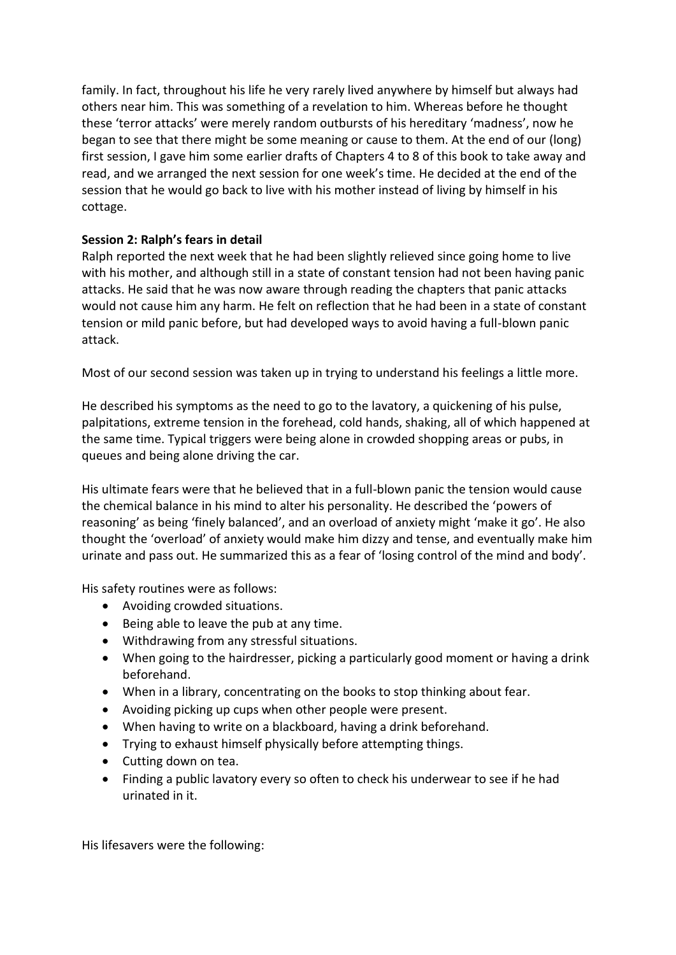family. In fact, throughout his life he very rarely lived anywhere by himself but always had others near him. This was something of a revelation to him. Whereas before he thought these 'terror attacks' were merely random outbursts of his hereditary 'madness', now he began to see that there might be some meaning or cause to them. At the end of our (long) first session, I gave him some earlier drafts of Chapters 4 to 8 of this book to take away and read, and we arranged the next session for one week's time. He decided at the end of the session that he would go back to live with his mother instead of living by himself in his cottage.

# **Session 2: Ralph's fears in detail**

Ralph reported the next week that he had been slightly relieved since going home to live with his mother, and although still in a state of constant tension had not been having panic attacks. He said that he was now aware through reading the chapters that panic attacks would not cause him any harm. He felt on reflection that he had been in a state of constant tension or mild panic before, but had developed ways to avoid having a full-blown panic attack.

Most of our second session was taken up in trying to understand his feelings a little more.

He described his symptoms as the need to go to the lavatory, a quickening of his pulse, palpitations, extreme tension in the forehead, cold hands, shaking, all of which happened at the same time. Typical triggers were being alone in crowded shopping areas or pubs, in queues and being alone driving the car.

His ultimate fears were that he believed that in a full-blown panic the tension would cause the chemical balance in his mind to alter his personality. He described the 'powers of reasoning' as being 'finely balanced', and an overload of anxiety might 'make it go'. He also thought the 'overload' of anxiety would make him dizzy and tense, and eventually make him urinate and pass out. He summarized this as a fear of 'losing control of the mind and body'.

His safety routines were as follows:

- Avoiding crowded situations.
- Being able to leave the pub at any time.
- Withdrawing from any stressful situations.
- When going to the hairdresser, picking a particularly good moment or having a drink beforehand.
- When in a library, concentrating on the books to stop thinking about fear.
- Avoiding picking up cups when other people were present.
- When having to write on a blackboard, having a drink beforehand.
- Trying to exhaust himself physically before attempting things.
- Cutting down on tea.
- Finding a public lavatory every so often to check his underwear to see if he had urinated in it.

His lifesavers were the following: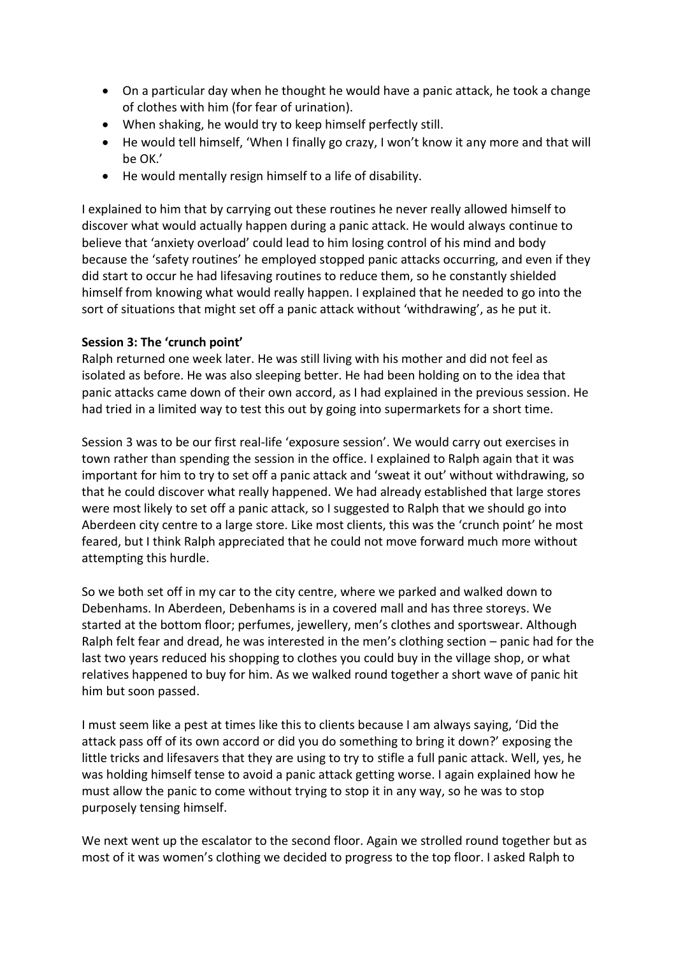- On a particular day when he thought he would have a panic attack, he took a change of clothes with him (for fear of urination).
- When shaking, he would try to keep himself perfectly still.
- He would tell himself, 'When I finally go crazy, I won't know it any more and that will be OK.'
- He would mentally resign himself to a life of disability.

I explained to him that by carrying out these routines he never really allowed himself to discover what would actually happen during a panic attack. He would always continue to believe that 'anxiety overload' could lead to him losing control of his mind and body because the 'safety routines' he employed stopped panic attacks occurring, and even if they did start to occur he had lifesaving routines to reduce them, so he constantly shielded himself from knowing what would really happen. I explained that he needed to go into the sort of situations that might set off a panic attack without 'withdrawing', as he put it.

#### **Session 3: The 'crunch point'**

Ralph returned one week later. He was still living with his mother and did not feel as isolated as before. He was also sleeping better. He had been holding on to the idea that panic attacks came down of their own accord, as I had explained in the previous session. He had tried in a limited way to test this out by going into supermarkets for a short time.

Session 3 was to be our first real-life 'exposure session'. We would carry out exercises in town rather than spending the session in the office. I explained to Ralph again that it was important for him to try to set off a panic attack and 'sweat it out' without withdrawing, so that he could discover what really happened. We had already established that large stores were most likely to set off a panic attack, so I suggested to Ralph that we should go into Aberdeen city centre to a large store. Like most clients, this was the 'crunch point' he most feared, but I think Ralph appreciated that he could not move forward much more without attempting this hurdle.

So we both set off in my car to the city centre, where we parked and walked down to Debenhams. In Aberdeen, Debenhams is in a covered mall and has three storeys. We started at the bottom floor; perfumes, jewellery, men's clothes and sportswear. Although Ralph felt fear and dread, he was interested in the men's clothing section – panic had for the last two years reduced his shopping to clothes you could buy in the village shop, or what relatives happened to buy for him. As we walked round together a short wave of panic hit him but soon passed.

I must seem like a pest at times like this to clients because I am always saying, 'Did the attack pass off of its own accord or did you do something to bring it down?' exposing the little tricks and lifesavers that they are using to try to stifle a full panic attack. Well, yes, he was holding himself tense to avoid a panic attack getting worse. I again explained how he must allow the panic to come without trying to stop it in any way, so he was to stop purposely tensing himself.

We next went up the escalator to the second floor. Again we strolled round together but as most of it was women's clothing we decided to progress to the top floor. I asked Ralph to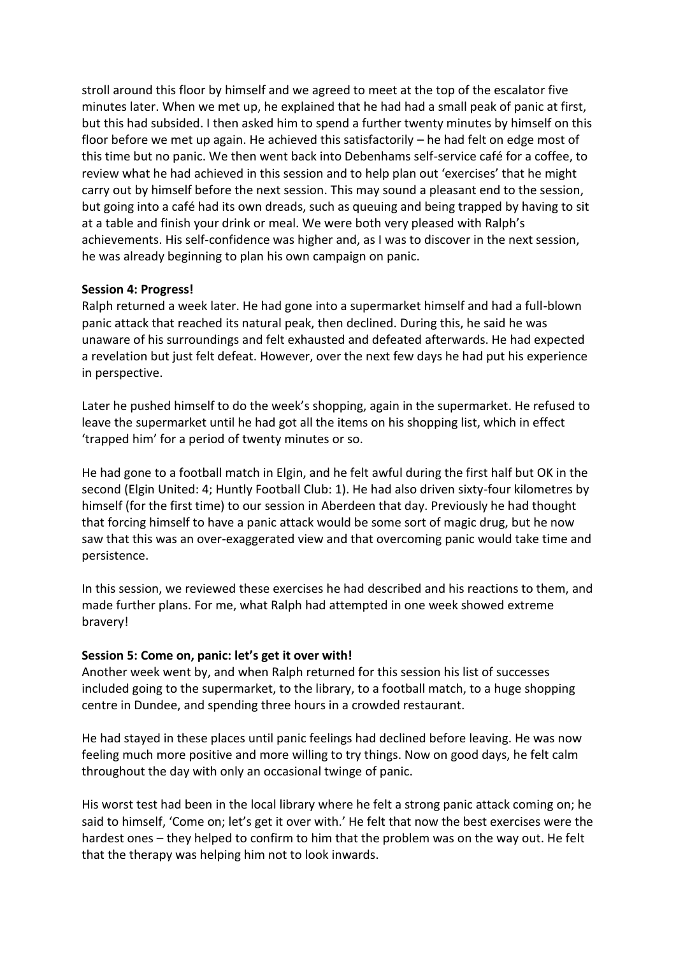stroll around this floor by himself and we agreed to meet at the top of the escalator five minutes later. When we met up, he explained that he had had a small peak of panic at first, but this had subsided. I then asked him to spend a further twenty minutes by himself on this floor before we met up again. He achieved this satisfactorily – he had felt on edge most of this time but no panic. We then went back into Debenhams self-service café for a coffee, to review what he had achieved in this session and to help plan out 'exercises' that he might carry out by himself before the next session. This may sound a pleasant end to the session, but going into a café had its own dreads, such as queuing and being trapped by having to sit at a table and finish your drink or meal. We were both very pleased with Ralph's achievements. His self-confidence was higher and, as I was to discover in the next session, he was already beginning to plan his own campaign on panic.

#### **Session 4: Progress!**

Ralph returned a week later. He had gone into a supermarket himself and had a full-blown panic attack that reached its natural peak, then declined. During this, he said he was unaware of his surroundings and felt exhausted and defeated afterwards. He had expected a revelation but just felt defeat. However, over the next few days he had put his experience in perspective.

Later he pushed himself to do the week's shopping, again in the supermarket. He refused to leave the supermarket until he had got all the items on his shopping list, which in effect 'trapped him' for a period of twenty minutes or so.

He had gone to a football match in Elgin, and he felt awful during the first half but OK in the second (Elgin United: 4; Huntly Football Club: 1). He had also driven sixty-four kilometres by himself (for the first time) to our session in Aberdeen that day. Previously he had thought that forcing himself to have a panic attack would be some sort of magic drug, but he now saw that this was an over-exaggerated view and that overcoming panic would take time and persistence.

In this session, we reviewed these exercises he had described and his reactions to them, and made further plans. For me, what Ralph had attempted in one week showed extreme bravery!

# **Session 5: Come on, panic: let's get it over with!**

Another week went by, and when Ralph returned for this session his list of successes included going to the supermarket, to the library, to a football match, to a huge shopping centre in Dundee, and spending three hours in a crowded restaurant.

He had stayed in these places until panic feelings had declined before leaving. He was now feeling much more positive and more willing to try things. Now on good days, he felt calm throughout the day with only an occasional twinge of panic.

His worst test had been in the local library where he felt a strong panic attack coming on; he said to himself, 'Come on; let's get it over with.' He felt that now the best exercises were the hardest ones – they helped to confirm to him that the problem was on the way out. He felt that the therapy was helping him not to look inwards.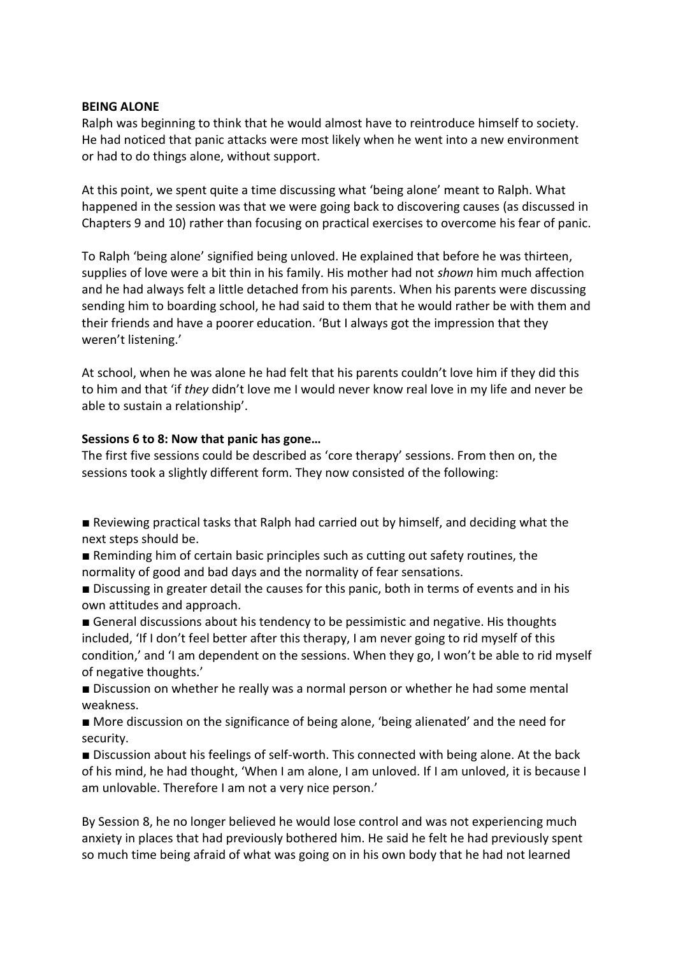#### **BEING ALONE**

Ralph was beginning to think that he would almost have to reintroduce himself to society. He had noticed that panic attacks were most likely when he went into a new environment or had to do things alone, without support.

At this point, we spent quite a time discussing what 'being alone' meant to Ralph. What happened in the session was that we were going back to discovering causes (as discussed in Chapters 9 and 10) rather than focusing on practical exercises to overcome his fear of panic.

To Ralph 'being alone' signified being unloved. He explained that before he was thirteen, supplies of love were a bit thin in his family. His mother had not *shown* him much affection and he had always felt a little detached from his parents. When his parents were discussing sending him to boarding school, he had said to them that he would rather be with them and their friends and have a poorer education. 'But I always got the impression that they weren't listening.'

At school, when he was alone he had felt that his parents couldn't love him if they did this to him and that 'if *they* didn't love me I would never know real love in my life and never be able to sustain a relationship'.

#### **Sessions 6 to 8: Now that panic has gone…**

The first five sessions could be described as 'core therapy' sessions. From then on, the sessions took a slightly different form. They now consisted of the following:

■ Reviewing practical tasks that Ralph had carried out by himself, and deciding what the next steps should be.

■ Reminding him of certain basic principles such as cutting out safety routines, the normality of good and bad days and the normality of fear sensations.

■ Discussing in greater detail the causes for this panic, both in terms of events and in his own attitudes and approach.

■ General discussions about his tendency to be pessimistic and negative. His thoughts included, 'If I don't feel better after this therapy, I am never going to rid myself of this condition,' and 'I am dependent on the sessions. When they go, I won't be able to rid myself of negative thoughts.'

■ Discussion on whether he really was a normal person or whether he had some mental weakness.

■ More discussion on the significance of being alone, 'being alienated' and the need for security.

■ Discussion about his feelings of self-worth. This connected with being alone. At the back of his mind, he had thought, 'When I am alone, I am unloved. If I am unloved, it is because I am unlovable. Therefore I am not a very nice person.'

By Session 8, he no longer believed he would lose control and was not experiencing much anxiety in places that had previously bothered him. He said he felt he had previously spent so much time being afraid of what was going on in his own body that he had not learned